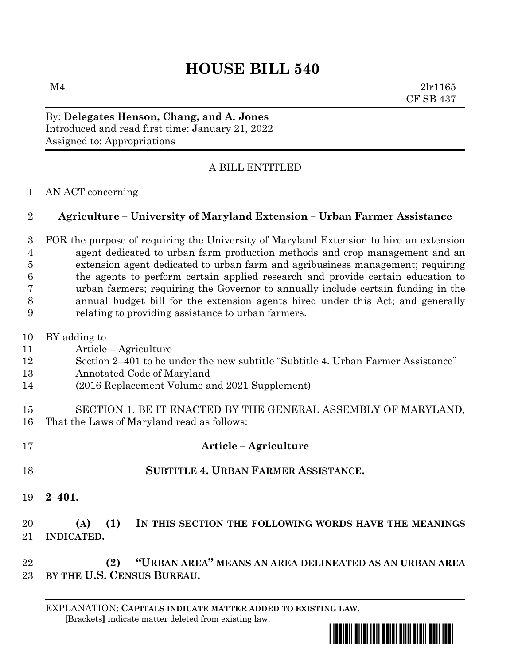## **HOUSE BILL 540**

 $M4$  2lr1165 CF SB 437

By: **Delegates Henson, Chang, and A. Jones** Introduced and read first time: January 21, 2022 Assigned to: Appropriations

## A BILL ENTITLED

AN ACT concerning

## **Agriculture – University of Maryland Extension – Urban Farmer Assistance**

 FOR the purpose of requiring the University of Maryland Extension to hire an extension agent dedicated to urban farm production methods and crop management and an extension agent dedicated to urban farm and agribusiness management; requiring the agents to perform certain applied research and provide certain education to urban farmers; requiring the Governor to annually include certain funding in the annual budget bill for the extension agents hired under this Act; and generally relating to providing assistance to urban farmers.

- BY adding to
- Article Agriculture
- Section 2–401 to be under the new subtitle "Subtitle 4. Urban Farmer Assistance"
- Annotated Code of Maryland
- (2016 Replacement Volume and 2021 Supplement)
- SECTION 1. BE IT ENACTED BY THE GENERAL ASSEMBLY OF MARYLAND, That the Laws of Maryland read as follows:
- **Article – Agriculture SUBTITLE 4. URBAN FARMER ASSISTANCE.**
- **2–401.**

## **(A) (1) IN THIS SECTION THE FOLLOWING WORDS HAVE THE MEANINGS INDICATED.**

 **(2) "URBAN AREA" MEANS AN AREA DELINEATED AS AN URBAN AREA BY THE U.S. CENSUS BUREAU.**

EXPLANATION: **CAPITALS INDICATE MATTER ADDED TO EXISTING LAW**.  **[**Brackets**]** indicate matter deleted from existing law.

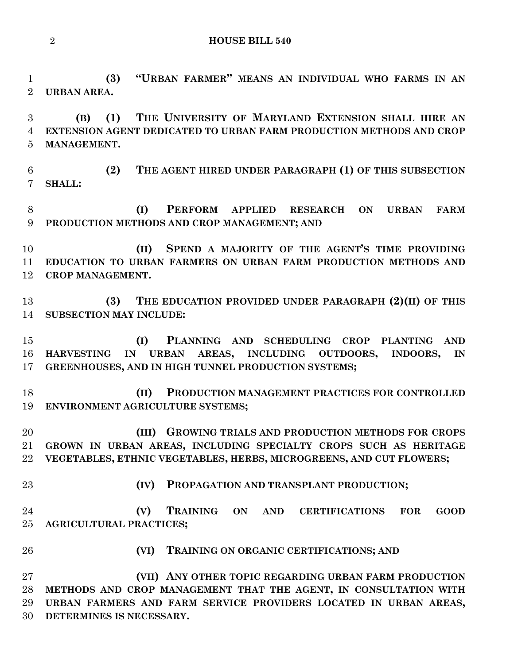**HOUSE BILL 540**

 **(3) "URBAN FARMER" MEANS AN INDIVIDUAL WHO FARMS IN AN URBAN AREA.**

 **(B) (1) THE UNIVERSITY OF MARYLAND EXTENSION SHALL HIRE AN EXTENSION AGENT DEDICATED TO URBAN FARM PRODUCTION METHODS AND CROP MANAGEMENT.**

 **(2) THE AGENT HIRED UNDER PARAGRAPH (1) OF THIS SUBSECTION SHALL:**

 **(I) PERFORM APPLIED RESEARCH ON URBAN FARM PRODUCTION METHODS AND CROP MANAGEMENT; AND**

 **(II) SPEND A MAJORITY OF THE AGENT'S TIME PROVIDING EDUCATION TO URBAN FARMERS ON URBAN FARM PRODUCTION METHODS AND CROP MANAGEMENT.**

 **(3) THE EDUCATION PROVIDED UNDER PARAGRAPH (2)(II) OF THIS SUBSECTION MAY INCLUDE:**

 **(I) PLANNING AND SCHEDULING CROP PLANTING AND HARVESTING IN URBAN AREAS, INCLUDING OUTDOORS, INDOORS, IN GREENHOUSES, AND IN HIGH TUNNEL PRODUCTION SYSTEMS;**

 **(II) PRODUCTION MANAGEMENT PRACTICES FOR CONTROLLED ENVIRONMENT AGRICULTURE SYSTEMS;**

 **(III) GROWING TRIALS AND PRODUCTION METHODS FOR CROPS GROWN IN URBAN AREAS, INCLUDING SPECIALTY CROPS SUCH AS HERITAGE VEGETABLES, ETHNIC VEGETABLES, HERBS, MICROGREENS, AND CUT FLOWERS;**

**(IV) PROPAGATION AND TRANSPLANT PRODUCTION;**

 **(V) TRAINING ON AND CERTIFICATIONS FOR GOOD AGRICULTURAL PRACTICES;**

- 
- **(VI) TRAINING ON ORGANIC CERTIFICATIONS; AND**

 **(VII) ANY OTHER TOPIC REGARDING URBAN FARM PRODUCTION METHODS AND CROP MANAGEMENT THAT THE AGENT, IN CONSULTATION WITH URBAN FARMERS AND FARM SERVICE PROVIDERS LOCATED IN URBAN AREAS, DETERMINES IS NECESSARY.**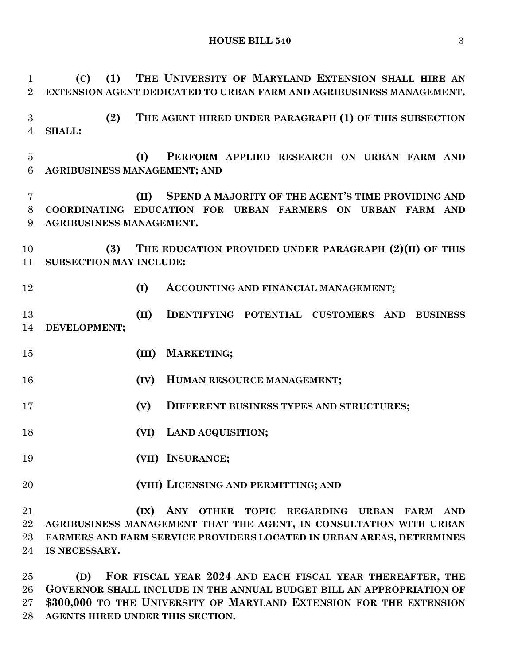**HOUSE BILL 540** 3

 **(C) (1) THE UNIVERSITY OF MARYLAND EXTENSION SHALL HIRE AN EXTENSION AGENT DEDICATED TO URBAN FARM AND AGRIBUSINESS MANAGEMENT. (2) THE AGENT HIRED UNDER PARAGRAPH (1) OF THIS SUBSECTION SHALL: (I) PERFORM APPLIED RESEARCH ON URBAN FARM AND AGRIBUSINESS MANAGEMENT; AND (II) SPEND A MAJORITY OF THE AGENT'S TIME PROVIDING AND COORDINATING EDUCATION FOR URBAN FARMERS ON URBAN FARM AND AGRIBUSINESS MANAGEMENT. (3) THE EDUCATION PROVIDED UNDER PARAGRAPH (2)(II) OF THIS SUBSECTION MAY INCLUDE: (I) ACCOUNTING AND FINANCIAL MANAGEMENT; (II) IDENTIFYING POTENTIAL CUSTOMERS AND BUSINESS DEVELOPMENT; (III) MARKETING; (IV) HUMAN RESOURCE MANAGEMENT; (V) DIFFERENT BUSINESS TYPES AND STRUCTURES; (VI) LAND ACQUISITION; (VII) INSURANCE; (VIII) LICENSING AND PERMITTING; AND (IX) ANY OTHER TOPIC REGARDING URBAN FARM AND AGRIBUSINESS MANAGEMENT THAT THE AGENT, IN CONSULTATION WITH URBAN FARMERS AND FARM SERVICE PROVIDERS LOCATED IN URBAN AREAS, DETERMINES IS NECESSARY.**

 **(D) FOR FISCAL YEAR 2024 AND EACH FISCAL YEAR THEREAFTER, THE GOVERNOR SHALL INCLUDE IN THE ANNUAL BUDGET BILL AN APPROPRIATION OF \$300,000 TO THE UNIVERSITY OF MARYLAND EXTENSION FOR THE EXTENSION AGENTS HIRED UNDER THIS SECTION.**